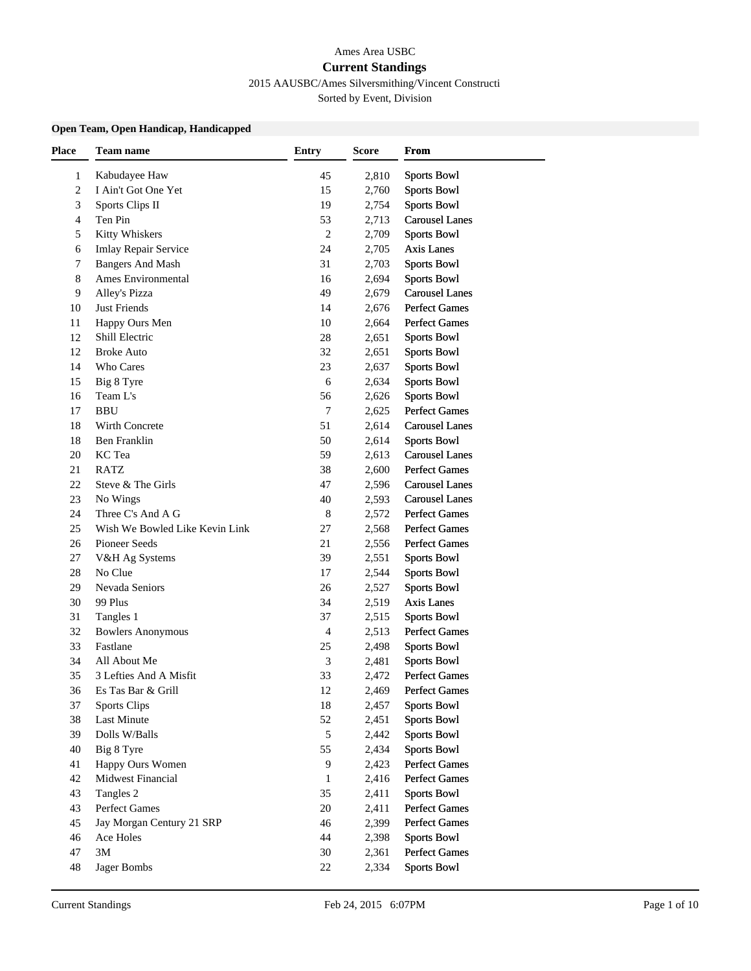# Ames Area USBC **Current Standings**

2015 AAUSBC/Ames Silversmithing/Vincent Constructi

Sorted by Event, Division

### **Open Team, Open Handicap, Handicapped**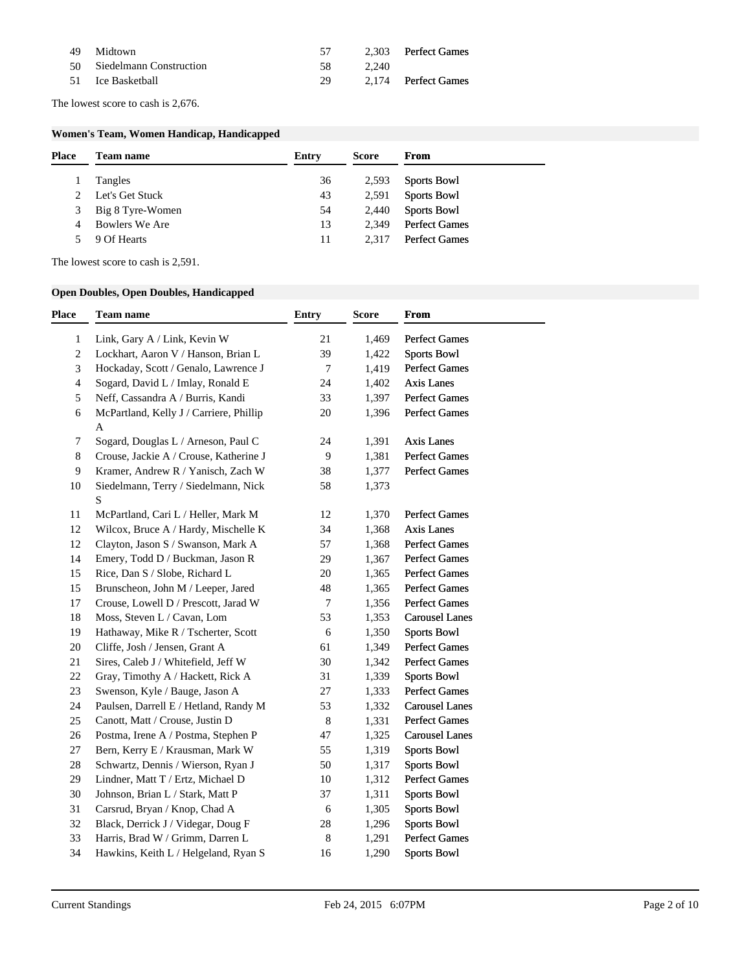| -49 | Midtown                    | 57   |       | 2.303 Perfect Games |
|-----|----------------------------|------|-------|---------------------|
|     | 50 Siedelmann Construction | -58. | 2.240 |                     |
|     | 51 Ice Basketball          | 29   |       | 2,174 Perfect Games |

The lowest score to cash is 2,676.

### **Women's Team, Women Handicap, Handicapped**

| <b>Place</b> | Team name          | Entry | <b>Score</b> | From                 |
|--------------|--------------------|-------|--------------|----------------------|
|              | Tangles            | 36    | 2,593        | <b>Sports Bowl</b>   |
| 2            | Let's Get Stuck    | 43    | 2,591        | <b>Sports Bowl</b>   |
|              | 3 Big 8 Tyre-Women | 54    | 2,440        | <b>Sports Bowl</b>   |
| 4            | Bowlers We Are     | 13    | 2.349        | <b>Perfect Games</b> |
|              | 9 Of Hearts        | 11    | 2.317        | <b>Perfect Games</b> |
|              |                    |       |              |                      |

The lowest score to cash is 2,591.

### **Open Doubles, Open Doubles, Handicapped**

| <b>Place</b>   | Team name                                           | <b>Entry</b>   | <b>Score</b> | From                  |
|----------------|-----------------------------------------------------|----------------|--------------|-----------------------|
| $\mathbf{1}$   | Link, Gary A / Link, Kevin W                        | 21             | 1,469        | <b>Perfect Games</b>  |
| 2              | Lockhart, Aaron V / Hanson, Brian L                 | 39             | 1,422        | Sports Bowl           |
| 3              | Hockaday, Scott / Genalo, Lawrence J                | 7              | 1,419        | Perfect Games         |
| 4              | Sogard, David L / Imlay, Ronald E                   | 24             | 1,402        | <b>Axis Lanes</b>     |
| 5              | Neff, Cassandra A / Burris, Kandi                   | 33             | 1,397        | <b>Perfect Games</b>  |
| 6              | McPartland, Kelly J / Carriere, Phillip<br>A        | 20             | 1,396        | <b>Perfect Games</b>  |
| $\tau$         | Sogard, Douglas L / Arneson, Paul C                 | 24             | 1,391        | <b>Axis Lanes</b>     |
| 8              | Crouse, Jackie A / Crouse, Katherine J              | $\overline{9}$ | 1,381        | <b>Perfect Games</b>  |
| $\overline{9}$ | Kramer, Andrew R / Yanisch, Zach W                  | 38             | 1,377        | Perfect Games         |
| 10             | Siedelmann, Terry / Siedelmann, Nick<br>$\mathbf S$ | 58             | 1,373        |                       |
| 11             | McPartland, Cari L / Heller, Mark M                 | 12             | 1,370        | <b>Perfect Games</b>  |
| 12             | Wilcox, Bruce A / Hardy, Mischelle K                | 34             | 1,368        | <b>Axis Lanes</b>     |
| 12             | Clayton, Jason S / Swanson, Mark A                  | 57             | 1,368        | <b>Perfect Games</b>  |
| 14             | Emery, Todd D / Buckman, Jason R                    | 29             | 1,367        | <b>Perfect Games</b>  |
| 15             | Rice, Dan S / Slobe, Richard L                      | 20             | 1,365        | <b>Perfect Games</b>  |
| 15             | Brunscheon, John M / Leeper, Jared                  | 48             | 1,365        | <b>Perfect Games</b>  |
| 17             | Crouse, Lowell D / Prescott, Jarad W                | 7              | 1,356        | <b>Perfect Games</b>  |
| 18             | Moss, Steven L / Cavan, Lom                         | 53             | 1,353        | <b>Carousel Lanes</b> |
| 19             | Hathaway, Mike R / Tscherter, Scott                 | 6              | 1,350        | <b>Sports Bowl</b>    |
| 20             | Cliffe, Josh / Jensen, Grant A                      | 61             | 1,349        | <b>Perfect Games</b>  |
| 21             | Sires, Caleb J / Whitefield, Jeff W                 | 30             | 1,342        | Perfect Games         |
| 22             | Gray, Timothy A / Hackett, Rick A                   | 31             | 1,339        | <b>Sports Bowl</b>    |
| 23             | Swenson, Kyle / Bauge, Jason A                      | 27             | 1,333        | Perfect Games         |
| 24             | Paulsen, Darrell E / Hetland, Randy M               | 53             | 1,332        | <b>Carousel Lanes</b> |
| 25             | Canott, Matt / Crouse, Justin D                     | 8              | 1,331        | Perfect Games         |
| 26             | Postma, Irene A / Postma, Stephen P                 | 47             | 1,325        | <b>Carousel Lanes</b> |
| 27             | Bern, Kerry E / Krausman, Mark W                    | 55             | 1,319        | <b>Sports Bowl</b>    |
| 28             | Schwartz, Dennis / Wierson, Ryan J                  | 50             | 1,317        | <b>Sports Bowl</b>    |
| 29             | Lindner, Matt T / Ertz, Michael D                   | 10             | 1,312        | <b>Perfect Games</b>  |
| 30             | Johnson, Brian L / Stark, Matt P                    | 37             | 1,311        | <b>Sports Bowl</b>    |
| 31             | Carsrud, Bryan / Knop, Chad A                       | 6              | 1,305        | <b>Sports Bowl</b>    |
| 32             | Black, Derrick J / Videgar, Doug F                  | 28             | 1,296        | <b>Sports Bowl</b>    |
| 33             | Harris, Brad W / Grimm, Darren L                    | 8              | 1,291        | <b>Perfect Games</b>  |
| 34             | Hawkins, Keith L / Helgeland, Ryan S                | 16             | 1,290        | <b>Sports Bowl</b>    |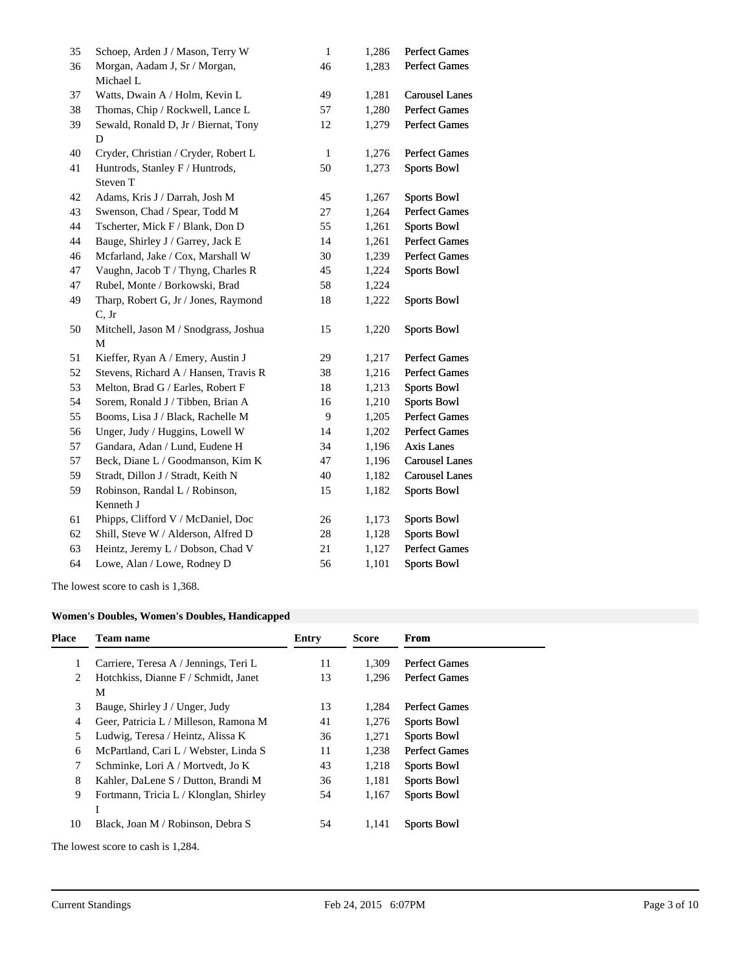| 35 | Schoep, Arden J / Mason, Terry W      | $\mathbf{1}$ | 1,286 | <b>Perfect Games</b>  |
|----|---------------------------------------|--------------|-------|-----------------------|
| 36 | Morgan, Aadam J, Sr / Morgan,         | 46           | 1,283 | <b>Perfect Games</b>  |
|    | Michael L                             |              |       |                       |
| 37 | Watts, Dwain A / Holm, Kevin L        | 49           | 1,281 | <b>Carousel Lanes</b> |
| 38 | Thomas, Chip / Rockwell, Lance L      | 57           | 1,280 | Perfect Games         |
| 39 | Sewald, Ronald D, Jr / Biernat, Tony  | 12           | 1,279 | <b>Perfect Games</b>  |
|    | D                                     |              |       |                       |
| 40 | Cryder, Christian / Cryder, Robert L  | $\mathbf{1}$ | 1,276 | <b>Perfect Games</b>  |
| 41 | Huntrods, Stanley F / Huntrods,       | 50           | 1,273 | <b>Sports Bowl</b>    |
|    | Steven T                              |              |       |                       |
| 42 | Adams, Kris J / Darrah, Josh M        | 45           | 1,267 | <b>Sports Bowl</b>    |
| 43 | Swenson, Chad / Spear, Todd M         | 27           | 1,264 | <b>Perfect Games</b>  |
| 44 | Tscherter, Mick F / Blank, Don D      | 55           | 1,261 | <b>Sports Bowl</b>    |
| 44 | Bauge, Shirley J / Garrey, Jack E     | 14           | 1,261 | <b>Perfect Games</b>  |
| 46 | Mcfarland, Jake / Cox, Marshall W     | 30           | 1,239 | <b>Perfect Games</b>  |
| 47 | Vaughn, Jacob T / Thyng, Charles R    | 45           | 1,224 | Sports Bowl           |
| 47 | Rubel, Monte / Borkowski, Brad        | 58           | 1,224 |                       |
| 49 | Tharp, Robert G, Jr / Jones, Raymond  | 18           | 1,222 | <b>Sports Bowl</b>    |
|    | C, Jr                                 |              |       |                       |
| 50 | Mitchell, Jason M / Snodgrass, Joshua | 15           | 1,220 | <b>Sports Bowl</b>    |
|    | M                                     |              |       |                       |
| 51 | Kieffer, Ryan A / Emery, Austin J     | 29           | 1,217 | <b>Perfect Games</b>  |
| 52 | Stevens, Richard A / Hansen, Travis R | 38           | 1,216 | <b>Perfect Games</b>  |
| 53 | Melton, Brad G / Earles, Robert F     | 18           | 1,213 | <b>Sports Bowl</b>    |
| 54 | Sorem, Ronald J / Tibben, Brian A     | 16           | 1,210 | <b>Sports Bowl</b>    |
| 55 | Booms, Lisa J / Black, Rachelle M     | 9            | 1,205 | <b>Perfect Games</b>  |
| 56 | Unger, Judy / Huggins, Lowell W       | 14           | 1,202 | <b>Perfect Games</b>  |
| 57 | Gandara, Adan / Lund, Eudene H        | 34           | 1,196 | <b>Axis Lanes</b>     |
| 57 | Beck, Diane L / Goodmanson, Kim K     | 47           | 1,196 | <b>Carousel Lanes</b> |
| 59 | Stradt, Dillon J / Stradt, Keith N    | 40           | 1,182 | <b>Carousel Lanes</b> |
| 59 | Robinson, Randal L / Robinson,        | 15           | 1,182 | <b>Sports Bowl</b>    |
|    | Kenneth J                             |              |       |                       |
| 61 | Phipps, Clifford V / McDaniel, Doc    | $26\,$       | 1,173 | <b>Sports Bowl</b>    |
| 62 | Shill, Steve W / Alderson, Alfred D   | $28\,$       | 1,128 | <b>Sports Bowl</b>    |
| 63 | Heintz, Jeremy L / Dobson, Chad V     | 21           | 1,127 | <b>Perfect Games</b>  |
| 64 | Lowe, Alan / Lowe, Rodney D           | 56           | 1,101 | <b>Sports Bowl</b>    |
|    |                                       |              |       |                       |

The lowest score to cash is 1,368.

## **Women's Doubles, Women's Doubles, Handicapped**

| <b>Place</b> | <b>Team name</b>                            | Entry | <b>Score</b> | From                 |
|--------------|---------------------------------------------|-------|--------------|----------------------|
|              | Carriere, Teresa A / Jennings, Teri L       | 11    | 1,309        | <b>Perfect Games</b> |
| 2            | Hotchkiss, Dianne F / Schmidt, Janet<br>М   | 13    | 1.296        | <b>Perfect Games</b> |
| 3            | Bauge, Shirley J / Unger, Judy              | 13    | 1.284        | <b>Perfect Games</b> |
| 4            | Geer, Patricia L / Milleson, Ramona M       | 41    | 1,276        | <b>Sports Bowl</b>   |
| 5            | Ludwig, Teresa / Heintz, Alissa K           | 36    | 1,271        | <b>Sports Bowl</b>   |
| 6            | McPartland, Cari L / Webster, Linda S       | 11    | 1,238        | <b>Perfect Games</b> |
| 7            | Schminke, Lori A / Mortvedt, Jo K           | 43    | 1,218        | <b>Sports Bowl</b>   |
| 8            | Kahler, DaLene S / Dutton, Brandi M         | 36    | 1,181        | <b>Sports Bowl</b>   |
| 9            | Fortmann, Tricia L / Klonglan, Shirley<br>1 | 54    | 1,167        | <b>Sports Bowl</b>   |
| 10           | Black, Joan M / Robinson, Debra S           | 54    | 1,141        | <b>Sports Bowl</b>   |
|              | The lowest score to cash is 1,284.          |       |              |                      |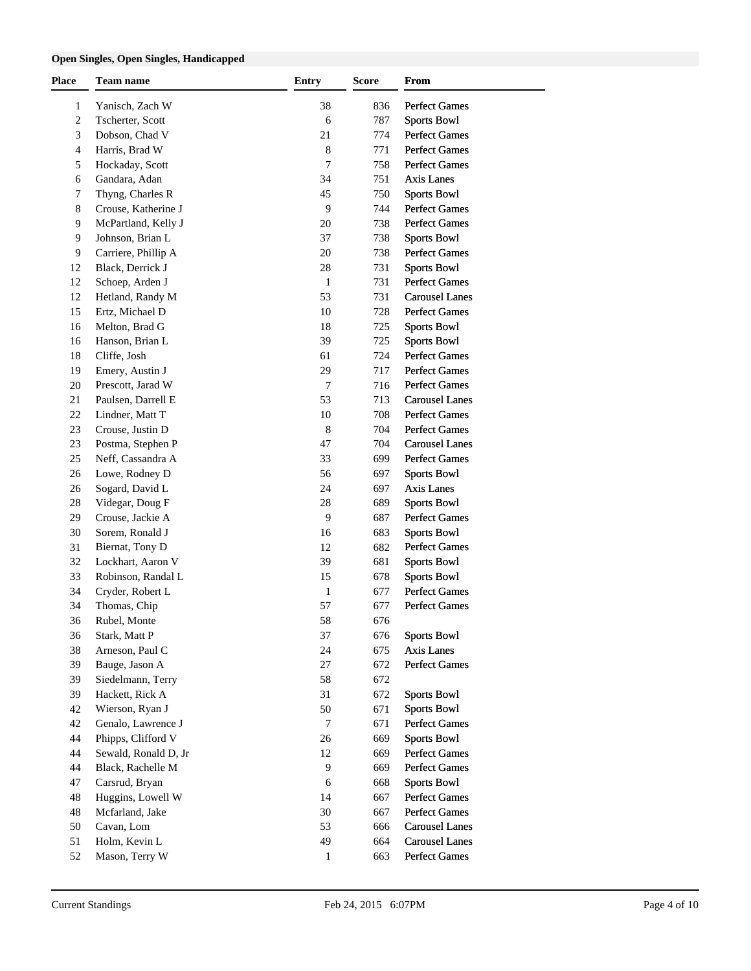### **Open Singles, Open Singles, Handicapped**

| <b>Place</b> | Team name            | <b>Entry</b>   | <b>Score</b> | From                                         |
|--------------|----------------------|----------------|--------------|----------------------------------------------|
| 1            | Yanisch, Zach W      | 38             | 836          | <b>Perfect Games</b>                         |
| 2            | Tscherter, Scott     | 6              | 787          | <b>Sports Bowl</b>                           |
| 3            | Dobson, Chad V       | 21             | 774          | <b>Perfect Games</b>                         |
| 4            | Harris, Brad W       | 8              | 771          | <b>Perfect Games</b>                         |
| 5            | Hockaday, Scott      | 7              | 758          | <b>Perfect Games</b>                         |
| 6            | Gandara, Adan        | 34             | 751          | Axis Lanes                                   |
| 7            | Thyng, Charles R     | 45             | 750          | <b>Sports Bowl</b>                           |
| 8            | Crouse, Katherine J  | 9              | 744          | <b>Perfect Games</b>                         |
| 9            | McPartland, Kelly J  | 20             | 738          | <b>Perfect Games</b>                         |
| 9            | Johnson, Brian L     | 37             | 738          | <b>Sports Bowl</b>                           |
| 9            | Carriere, Phillip A  | 20             | 738          | <b>Perfect Games</b>                         |
| 12           | Black, Derrick J     | 28             | 731          | <b>Sports Bowl</b>                           |
| 12           | Schoep, Arden J      | $\mathbf{1}$   | 731          | <b>Perfect Games</b>                         |
| 12           | Hetland, Randy M     | 53             | 731          | <b>Carousel Lanes</b>                        |
| 15           | Ertz, Michael D      | 10             | 728          | <b>Perfect Games</b>                         |
| 16           | Melton, Brad G       | 18             | 725          | <b>Sports Bowl</b>                           |
| 16           | Hanson, Brian L      | 39             | 725          | <b>Sports Bowl</b>                           |
|              |                      |                |              |                                              |
| 18           | Cliffe, Josh         | 61             | 724          | <b>Perfect Games</b><br><b>Perfect Games</b> |
| 19           | Emery, Austin J      | 29             | 717          |                                              |
| 20           | Prescott, Jarad W    | $\overline{7}$ | 716          | <b>Perfect Games</b>                         |
| 21           | Paulsen, Darrell E   | 53             | 713          | <b>Carousel Lanes</b>                        |
| 22           | Lindner, Matt T      | 10             | 708          | <b>Perfect Games</b>                         |
| 23           | Crouse, Justin D     | $\,$ 8 $\,$    | 704          | <b>Perfect Games</b>                         |
| 23           | Postma, Stephen P    | 47             | 704          | <b>Carousel Lanes</b>                        |
| 25           | Neff, Cassandra A    | 33             | 699          | <b>Perfect Games</b>                         |
| 26           | Lowe, Rodney D       | 56             | 697          | <b>Sports Bowl</b>                           |
| 26           | Sogard, David L      | 24             | 697          | Axis Lanes                                   |
| 28           | Videgar, Doug F      | 28             | 689          | <b>Sports Bowl</b>                           |
| 29           | Crouse, Jackie A     | 9              | 687          | <b>Perfect Games</b>                         |
| 30           | Sorem, Ronald J      | 16             | 683          | <b>Sports Bowl</b>                           |
| 31           | Biernat, Tony D      | 12             | 682          | <b>Perfect Games</b>                         |
| 32           | Lockhart, Aaron V    | 39             | 681          | <b>Sports Bowl</b>                           |
| 33           | Robinson, Randal L   | 15             | 678          | <b>Sports Bowl</b>                           |
| 34           | Cryder, Robert L     | 1              | 677          | <b>Perfect Games</b>                         |
| 34           | Thomas, Chip         | 57             | 677          | <b>Perfect Games</b>                         |
| 36           | Rubel, Monte         | 58             | 676          |                                              |
| 36           | Stark, Matt P        | 37             | 676          | <b>Sports Bowl</b>                           |
| 38           | Arneson, Paul C      | 24             | 675          | Axis Lanes                                   |
| 39           | Bauge, Jason A       | 27             | 672          | <b>Perfect Games</b>                         |
| 39           | Siedelmann, Terry    | 58             | 672          |                                              |
| 39           | Hackett, Rick A      | 31             | 672          | <b>Sports Bowl</b>                           |
| 42           | Wierson, Ryan J      | 50             | 671          | <b>Sports Bowl</b>                           |
| 42           | Genalo, Lawrence J   | $\overline{7}$ | 671          | <b>Perfect Games</b>                         |
| 44           | Phipps, Clifford V   | 26             | 669          | <b>Sports Bowl</b>                           |
| 44           | Sewald, Ronald D, Jr | 12             | 669          | <b>Perfect Games</b>                         |
| 44           | Black, Rachelle M    | 9              | 669          | <b>Perfect Games</b>                         |
| 47           | Carsrud, Bryan       | 6              | 668          | <b>Sports Bowl</b>                           |
| 48           | Huggins, Lowell W    | 14             | 667          | <b>Perfect Games</b>                         |
| 48           | Mcfarland, Jake      | 30             | 667          | <b>Perfect Games</b>                         |
| 50           | Cavan, Lom           | 53             | 666          | <b>Carousel Lanes</b>                        |
| 51           | Holm, Kevin L        | 49             | 664          | <b>Carousel Lanes</b>                        |
| 52           | Mason, Terry W       | 1              | 663          | <b>Perfect Games</b>                         |
|              |                      |                |              |                                              |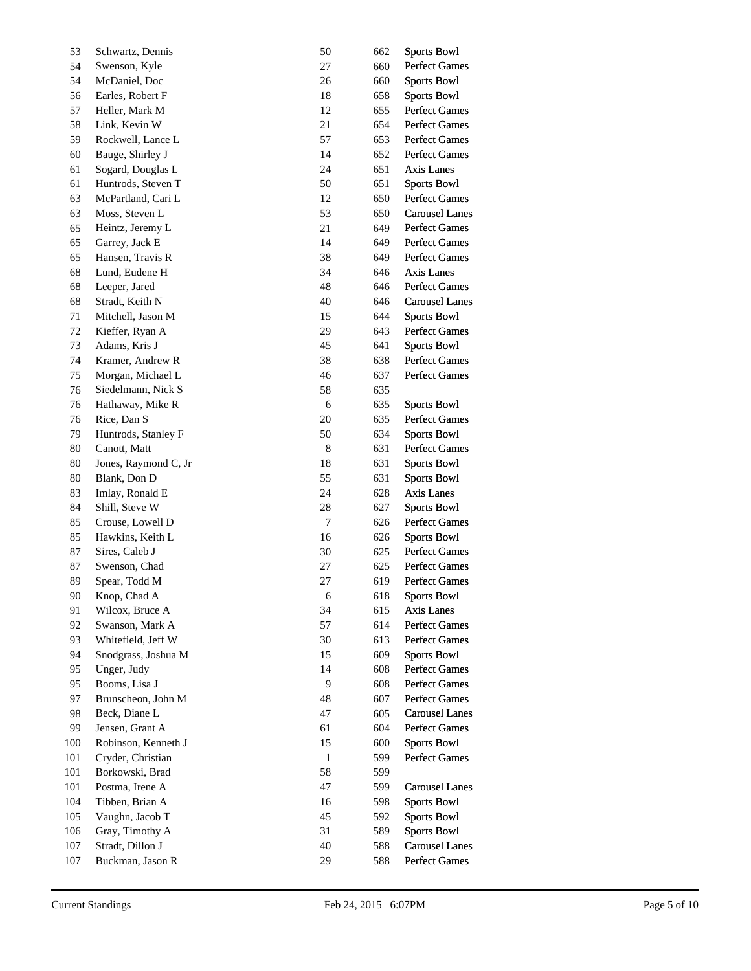| 53  | Schwartz, Dennis     | 50             | 662 | <b>Sports Bowl</b>    |
|-----|----------------------|----------------|-----|-----------------------|
| 54  | Swenson, Kyle        | 27             | 660 | <b>Perfect Games</b>  |
| 54  | McDaniel, Doc        | 26             | 660 | <b>Sports Bowl</b>    |
| 56  | Earles, Robert F     | 18             | 658 | <b>Sports Bowl</b>    |
| 57  | Heller, Mark M       | 12             | 655 | Perfect Games         |
| 58  | Link, Kevin W        | 21             | 654 | <b>Perfect Games</b>  |
| 59  | Rockwell, Lance L    | 57             | 653 | <b>Perfect Games</b>  |
| 60  | Bauge, Shirley J     | 14             | 652 | Perfect Games         |
| 61  | Sogard, Douglas L    | 24             | 651 | Axis Lanes            |
| 61  | Huntrods, Steven T   | 50             | 651 | <b>Sports Bowl</b>    |
| 63  | McPartland, Cari L   | 12             | 650 | Perfect Games         |
| 63  | Moss, Steven L       | 53             | 650 | <b>Carousel Lanes</b> |
| 65  | Heintz, Jeremy L     | 21             | 649 | Perfect Games         |
| 65  | Garrey, Jack E       | 14             | 649 | Perfect Games         |
| 65  | Hansen, Travis R     | 38             | 649 | Perfect Games         |
| 68  | Lund, Eudene H       | 34             | 646 | Axis Lanes            |
| 68  | Leeper, Jared        | 48             | 646 | <b>Perfect Games</b>  |
| 68  | Stradt, Keith N      | 40             | 646 | <b>Carousel Lanes</b> |
| 71  | Mitchell, Jason M    | 15             | 644 | <b>Sports Bowl</b>    |
| 72  | Kieffer, Ryan A      | 29             | 643 | Perfect Games         |
| 73  | Adams, Kris J        | 45             | 641 | <b>Sports Bowl</b>    |
| 74  | Kramer, Andrew R     | 38             | 638 | Perfect Games         |
| 75  | Morgan, Michael L    | 46             | 637 | <b>Perfect Games</b>  |
| 76  | Siedelmann, Nick S   | 58             | 635 |                       |
| 76  | Hathaway, Mike R     | 6              | 635 | <b>Sports Bowl</b>    |
| 76  | Rice, Dan S          | $20\,$         | 635 | Perfect Games         |
| 79  | Huntrods, Stanley F  | 50             | 634 | <b>Sports Bowl</b>    |
| 80  | Canott, Matt         | $\,8\,$        | 631 | Perfect Games         |
| 80  | Jones, Raymond C, Jr | $18\,$         | 631 | <b>Sports Bowl</b>    |
| 80  | Blank, Don D         | 55             | 631 | <b>Sports Bowl</b>    |
| 83  | Imlay, Ronald E      | 24             | 628 | Axis Lanes            |
| 84  | Shill, Steve W       | 28             | 627 | <b>Sports Bowl</b>    |
| 85  | Crouse, Lowell D     | $\overline{7}$ | 626 | Perfect Games         |
| 85  | Hawkins, Keith L     | 16             | 626 | <b>Sports Bowl</b>    |
| 87  | Sires, Caleb J       | 30             | 625 | Perfect Games         |
| 87  | Swenson, Chad        | 27             | 625 | <b>Perfect Games</b>  |
| 89  | Spear, Todd M        | 27             | 619 | <b>Perfect Games</b>  |
| 90  | Knop, Chad A         | 6              | 618 | <b>Sports Bowl</b>    |
| 91  | Wilcox, Bruce A      | 34             | 615 | Axis Lanes            |
| 92  | Swanson, Mark A      | 57             | 614 | <b>Perfect Games</b>  |
| 93  | Whitefield, Jeff W   | 30             | 613 | <b>Perfect Games</b>  |
| 94  | Snodgrass, Joshua M  | 15             | 609 | <b>Sports Bowl</b>    |
| 95  | Unger, Judy          | 14             | 608 | Perfect Games         |
| 95  | Booms, Lisa J        | $\overline{9}$ | 608 | <b>Perfect Games</b>  |
| 97  | Brunscheon, John M   | 48             | 607 | <b>Perfect Games</b>  |
| 98  | Beck, Diane L        | 47             | 605 | <b>Carousel Lanes</b> |
| 99  | Jensen, Grant A      | 61             | 604 | <b>Perfect Games</b>  |
| 100 | Robinson, Kenneth J  | 15             | 600 | <b>Sports Bowl</b>    |
| 101 | Cryder, Christian    | $\mathbf{1}$   | 599 | Perfect Games         |
| 101 | Borkowski, Brad      | 58             | 599 |                       |
| 101 | Postma, Irene A      | 47             | 599 | <b>Carousel Lanes</b> |
| 104 | Tibben, Brian A      | 16             | 598 | <b>Sports Bowl</b>    |
| 105 | Vaughn, Jacob T      | 45             | 592 | <b>Sports Bowl</b>    |
| 106 | Gray, Timothy A      | 31             | 589 | <b>Sports Bowl</b>    |
| 107 | Stradt, Dillon J     | 40             | 588 | <b>Carousel Lanes</b> |
| 107 | Buckman, Jason R     | 29             |     | Perfect Games         |
|     |                      |                | 588 |                       |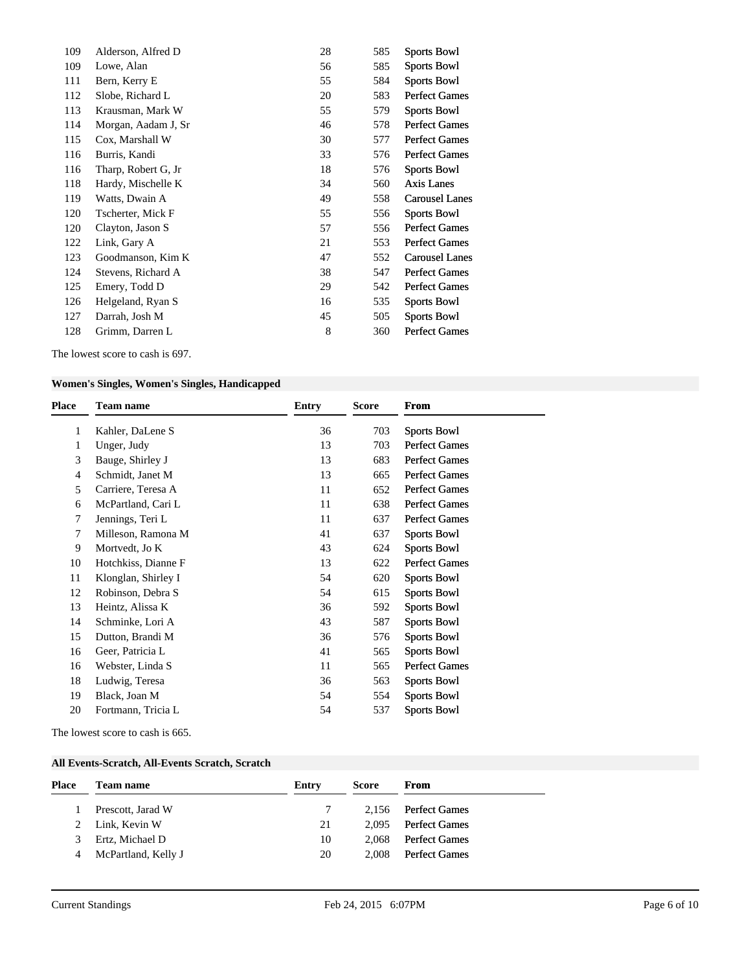| 109 | Alderson, Alfred D  | 28 | 585 | <b>Sports Bowl</b>    |
|-----|---------------------|----|-----|-----------------------|
| 109 | Lowe, Alan          | 56 | 585 | <b>Sports Bowl</b>    |
| 111 | Bern, Kerry E       | 55 | 584 | <b>Sports Bowl</b>    |
| 112 | Slobe, Richard L    | 20 | 583 | <b>Perfect Games</b>  |
| 113 | Krausman, Mark W    | 55 | 579 | <b>Sports Bowl</b>    |
| 114 | Morgan, Aadam J, Sr | 46 | 578 | <b>Perfect Games</b>  |
| 115 | Cox, Marshall W     | 30 | 577 | <b>Perfect Games</b>  |
| 116 | Burris, Kandi       | 33 | 576 | <b>Perfect Games</b>  |
| 116 | Tharp, Robert G, Jr | 18 | 576 | <b>Sports Bowl</b>    |
| 118 | Hardy, Mischelle K  | 34 | 560 | Axis Lanes            |
| 119 | Watts, Dwain A      | 49 | 558 | <b>Carousel Lanes</b> |
| 120 | Tscherter, Mick F   | 55 | 556 | <b>Sports Bowl</b>    |
| 120 | Clayton, Jason S    | 57 | 556 | <b>Perfect Games</b>  |
| 122 | Link, Gary A        | 21 | 553 | <b>Perfect Games</b>  |
| 123 | Goodmanson, Kim K   | 47 | 552 | <b>Carousel Lanes</b> |
| 124 | Stevens, Richard A  | 38 | 547 | <b>Perfect Games</b>  |
| 125 | Emery, Todd D       | 29 | 542 | <b>Perfect Games</b>  |
| 126 | Helgeland, Ryan S   | 16 | 535 | <b>Sports Bowl</b>    |
| 127 | Darrah, Josh M      | 45 | 505 | <b>Sports Bowl</b>    |
| 128 | Grimm, Darren L     | 8  | 360 | <b>Perfect Games</b>  |
|     |                     |    |     |                       |

The lowest score to cash is 697.

### **Women's Singles, Women's Singles, Handicapped**

| Kahler, DaLene S<br>36<br>703<br><b>Sports Bowl</b><br>1<br><b>Perfect Games</b><br>Unger, Judy<br>13<br>703<br>1<br>3<br>13<br><b>Perfect Games</b><br>Bauge, Shirley J<br>683<br>Schmidt, Janet M<br><b>Perfect Games</b><br>13<br>665<br>$\overline{4}$<br><b>Perfect Games</b><br>5<br>Carriere, Teresa A<br>11<br>652<br><b>Perfect Games</b><br>11<br>638<br>McPartland, Cari L<br>6<br><b>Perfect Games</b><br>Jennings, Teri L<br>637<br>7<br>11<br>7<br>41<br><b>Sports Bowl</b><br>Milleson, Ramona M<br>637<br>9<br><b>Sports Bowl</b><br>Mortvedt, Jo K<br>43<br>624<br><b>Perfect Games</b><br>10<br>Hotchkiss, Dianne F<br>13<br>622<br>11<br>Klonglan, Shirley I<br>54<br>620<br><b>Sports Bowl</b><br>12<br>Robinson, Debra S<br>54<br>615<br><b>Sports Bowl</b><br>13<br>Heintz, Alissa K<br>36<br><b>Sports Bowl</b><br>592<br>587<br><b>Sports Bowl</b><br>14<br>Schminke, Lori A<br>43<br>Dutton, Brandi M<br><b>Sports Bowl</b><br>15<br>36<br>576<br>16<br>Geer, Patricia L<br>41<br><b>Sports Bowl</b><br>565<br><b>Perfect Games</b><br>16<br>Webster, Linda S<br>11<br>565<br>18<br>Ludwig, Teresa<br>36<br><b>Sports Bowl</b><br>563<br>Black, Joan M<br><b>Sports Bowl</b><br>19<br>54<br>554<br>20<br>Fortmann, Tricia L<br>54<br><b>Sports Bowl</b><br>537 | <b>Place</b> | <b>Team name</b> | <b>Entry</b> | <b>Score</b> | From |
|-----------------------------------------------------------------------------------------------------------------------------------------------------------------------------------------------------------------------------------------------------------------------------------------------------------------------------------------------------------------------------------------------------------------------------------------------------------------------------------------------------------------------------------------------------------------------------------------------------------------------------------------------------------------------------------------------------------------------------------------------------------------------------------------------------------------------------------------------------------------------------------------------------------------------------------------------------------------------------------------------------------------------------------------------------------------------------------------------------------------------------------------------------------------------------------------------------------------------------------------------------------------------------------------|--------------|------------------|--------------|--------------|------|
|                                                                                                                                                                                                                                                                                                                                                                                                                                                                                                                                                                                                                                                                                                                                                                                                                                                                                                                                                                                                                                                                                                                                                                                                                                                                                         |              |                  |              |              |      |
|                                                                                                                                                                                                                                                                                                                                                                                                                                                                                                                                                                                                                                                                                                                                                                                                                                                                                                                                                                                                                                                                                                                                                                                                                                                                                         |              |                  |              |              |      |
|                                                                                                                                                                                                                                                                                                                                                                                                                                                                                                                                                                                                                                                                                                                                                                                                                                                                                                                                                                                                                                                                                                                                                                                                                                                                                         |              |                  |              |              |      |
|                                                                                                                                                                                                                                                                                                                                                                                                                                                                                                                                                                                                                                                                                                                                                                                                                                                                                                                                                                                                                                                                                                                                                                                                                                                                                         |              |                  |              |              |      |
|                                                                                                                                                                                                                                                                                                                                                                                                                                                                                                                                                                                                                                                                                                                                                                                                                                                                                                                                                                                                                                                                                                                                                                                                                                                                                         |              |                  |              |              |      |
|                                                                                                                                                                                                                                                                                                                                                                                                                                                                                                                                                                                                                                                                                                                                                                                                                                                                                                                                                                                                                                                                                                                                                                                                                                                                                         |              |                  |              |              |      |
|                                                                                                                                                                                                                                                                                                                                                                                                                                                                                                                                                                                                                                                                                                                                                                                                                                                                                                                                                                                                                                                                                                                                                                                                                                                                                         |              |                  |              |              |      |
|                                                                                                                                                                                                                                                                                                                                                                                                                                                                                                                                                                                                                                                                                                                                                                                                                                                                                                                                                                                                                                                                                                                                                                                                                                                                                         |              |                  |              |              |      |
|                                                                                                                                                                                                                                                                                                                                                                                                                                                                                                                                                                                                                                                                                                                                                                                                                                                                                                                                                                                                                                                                                                                                                                                                                                                                                         |              |                  |              |              |      |
|                                                                                                                                                                                                                                                                                                                                                                                                                                                                                                                                                                                                                                                                                                                                                                                                                                                                                                                                                                                                                                                                                                                                                                                                                                                                                         |              |                  |              |              |      |
|                                                                                                                                                                                                                                                                                                                                                                                                                                                                                                                                                                                                                                                                                                                                                                                                                                                                                                                                                                                                                                                                                                                                                                                                                                                                                         |              |                  |              |              |      |
|                                                                                                                                                                                                                                                                                                                                                                                                                                                                                                                                                                                                                                                                                                                                                                                                                                                                                                                                                                                                                                                                                                                                                                                                                                                                                         |              |                  |              |              |      |
|                                                                                                                                                                                                                                                                                                                                                                                                                                                                                                                                                                                                                                                                                                                                                                                                                                                                                                                                                                                                                                                                                                                                                                                                                                                                                         |              |                  |              |              |      |
|                                                                                                                                                                                                                                                                                                                                                                                                                                                                                                                                                                                                                                                                                                                                                                                                                                                                                                                                                                                                                                                                                                                                                                                                                                                                                         |              |                  |              |              |      |
|                                                                                                                                                                                                                                                                                                                                                                                                                                                                                                                                                                                                                                                                                                                                                                                                                                                                                                                                                                                                                                                                                                                                                                                                                                                                                         |              |                  |              |              |      |
|                                                                                                                                                                                                                                                                                                                                                                                                                                                                                                                                                                                                                                                                                                                                                                                                                                                                                                                                                                                                                                                                                                                                                                                                                                                                                         |              |                  |              |              |      |
|                                                                                                                                                                                                                                                                                                                                                                                                                                                                                                                                                                                                                                                                                                                                                                                                                                                                                                                                                                                                                                                                                                                                                                                                                                                                                         |              |                  |              |              |      |
|                                                                                                                                                                                                                                                                                                                                                                                                                                                                                                                                                                                                                                                                                                                                                                                                                                                                                                                                                                                                                                                                                                                                                                                                                                                                                         |              |                  |              |              |      |
|                                                                                                                                                                                                                                                                                                                                                                                                                                                                                                                                                                                                                                                                                                                                                                                                                                                                                                                                                                                                                                                                                                                                                                                                                                                                                         |              |                  |              |              |      |
|                                                                                                                                                                                                                                                                                                                                                                                                                                                                                                                                                                                                                                                                                                                                                                                                                                                                                                                                                                                                                                                                                                                                                                                                                                                                                         |              |                  |              |              |      |

The lowest score to cash is 665.

### **All Events-Scratch, All-Events Scratch, Scratch**

| 2.156 Perfect Games<br>Prescott, Jarad W<br>2 Link. Kevin W<br><b>Perfect Games</b><br>2.095<br>21 |
|----------------------------------------------------------------------------------------------------|
|                                                                                                    |
|                                                                                                    |
| Ertz, Michael D<br><b>Perfect Games</b><br>10<br>2.068<br>3                                        |
| McPartland, Kelly J<br>20<br><b>Perfect Games</b><br>2.008<br>4                                    |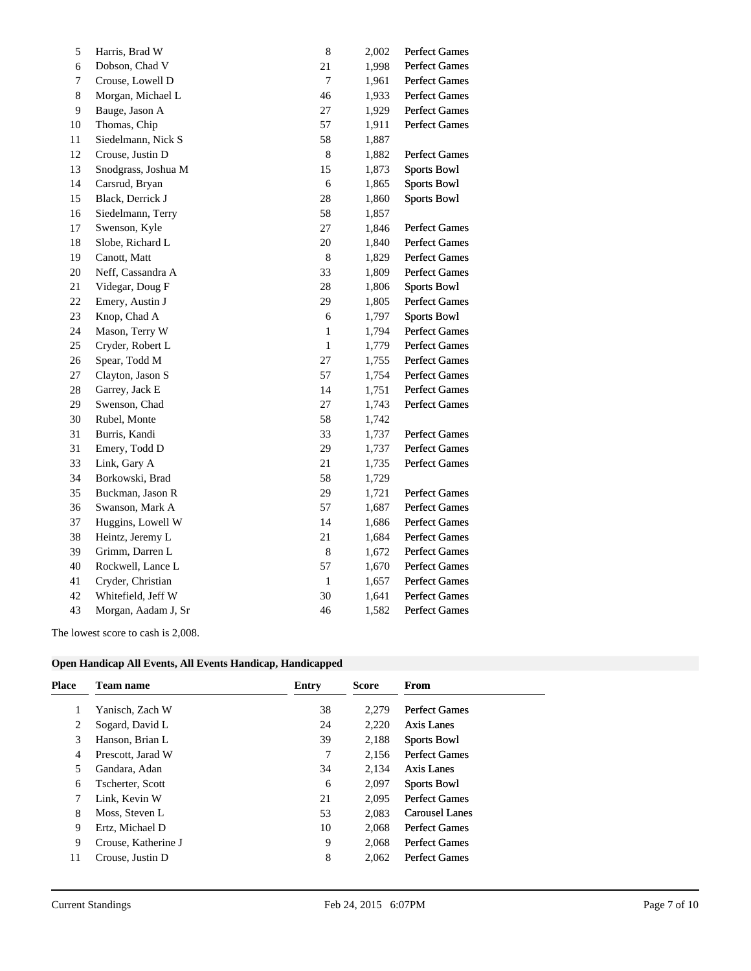| Harris, Brad W      | $\,8\,$      | 2,002 | <b>Perfect Games</b> |
|---------------------|--------------|-------|----------------------|
| Dobson, Chad V      | 21           | 1,998 | Perfect Games        |
| Crouse, Lowell D    | 7            | 1,961 | Perfect Games        |
| Morgan, Michael L   | 46           | 1,933 | Perfect Games        |
| Bauge, Jason A      | 27           | 1,929 | Perfect Games        |
| Thomas, Chip        | 57           | 1,911 | <b>Perfect Games</b> |
| Siedelmann, Nick S  | 58           | 1,887 |                      |
| Crouse, Justin D    | $\,8\,$      | 1,882 | <b>Perfect Games</b> |
| Snodgrass, Joshua M | 15           | 1,873 | <b>Sports Bowl</b>   |
| Carsrud, Bryan      | 6            | 1,865 | <b>Sports Bowl</b>   |
| Black, Derrick J    | 28           | 1,860 | <b>Sports Bowl</b>   |
| Siedelmann, Terry   | 58           | 1,857 |                      |
| Swenson, Kyle       | 27           | 1,846 | <b>Perfect Games</b> |
| Slobe, Richard L    | 20           | 1,840 | Perfect Games        |
| Canott, Matt        | 8            | 1,829 | <b>Perfect Games</b> |
| Neff, Cassandra A   | 33           | 1,809 | Perfect Games        |
| Videgar, Doug F     | 28           | 1,806 | <b>Sports Bowl</b>   |
| Emery, Austin J     | 29           | 1,805 | <b>Perfect Games</b> |
| Knop, Chad A        | 6            | 1,797 | <b>Sports Bowl</b>   |
| Mason, Terry W      | $\mathbf{1}$ | 1,794 | <b>Perfect Games</b> |
| Cryder, Robert L    | $\mathbf{1}$ | 1,779 | Perfect Games        |
| Spear, Todd M       | 27           | 1,755 | Perfect Games        |
| Clayton, Jason S    | 57           | 1,754 | <b>Perfect Games</b> |
| Garrey, Jack E      | 14           | 1,751 | Perfect Games        |
| Swenson, Chad       | 27           | 1,743 | <b>Perfect Games</b> |
| Rubel, Monte        | 58           | 1,742 |                      |
| Burris, Kandi       | 33           | 1,737 | Perfect Games        |
| Emery, Todd D       | 29           | 1,737 | <b>Perfect Games</b> |
| Link, Gary A        | 21           | 1,735 | <b>Perfect Games</b> |
| Borkowski, Brad     | 58           | 1,729 |                      |
| Buckman, Jason R    | 29           | 1,721 | Perfect Games        |
| Swanson, Mark A     | 57           | 1,687 | <b>Perfect Games</b> |
| Huggins, Lowell W   | 14           | 1,686 | Perfect Games        |
| Heintz, Jeremy L    | 21           | 1,684 | <b>Perfect Games</b> |
| Grimm, Darren L     | $\,8\,$      | 1,672 | <b>Perfect Games</b> |
| Rockwell, Lance L   | 57           | 1,670 | <b>Perfect Games</b> |
| Cryder, Christian   | $\mathbf{1}$ | 1,657 | <b>Perfect Games</b> |
| Whitefield, Jeff W  | 30           | 1,641 | Perfect Games        |
| Morgan, Aadam J, Sr | 46           | 1,582 | <b>Perfect Games</b> |
|                     |              |       |                      |

The lowest score to cash is 2,008.

|  |  | Open Handicap All Events, All Events Handicap, Handicapped |
|--|--|------------------------------------------------------------|
|  |  |                                                            |

| Place | <b>Team name</b>    | Entry | <b>Score</b> | From                 |
|-------|---------------------|-------|--------------|----------------------|
|       | Yanisch, Zach W     | 38    | 2.279        | <b>Perfect Games</b> |
| 2     | Sogard, David L     | 24    | 2,220        | Axis Lanes           |
| 3     | Hanson, Brian L     | 39    | 2,188        | <b>Sports Bowl</b>   |
| 4     | Prescott, Jarad W   | 7     | 2.156        | <b>Perfect Games</b> |
| 5     | Gandara, Adan       | 34    | 2,134        | Axis Lanes           |
| 6     | Tscherter, Scott    | 6     | 2,097        | <b>Sports Bowl</b>   |
|       | Link, Kevin W       | 21    | 2.095        | <b>Perfect Games</b> |
| 8     | Moss, Steven L      | 53    | 2.083        | Carousel Lanes       |
| 9     | Ertz, Michael D     | 10    | 2.068        | <b>Perfect Games</b> |
| 9     | Crouse, Katherine J | 9     | 2.068        | <b>Perfect Games</b> |
| 11    | Crouse, Justin D    | 8     | 2.062        | <b>Perfect Games</b> |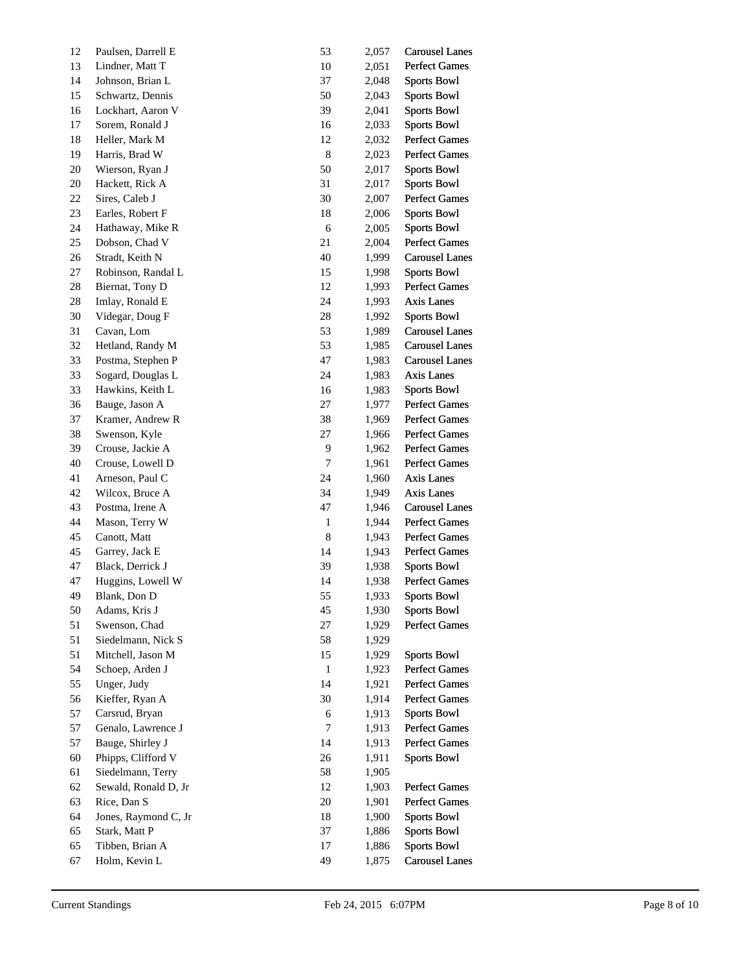| 12     | Paulsen, Darrell E   | 53           | 2,057 | <b>Carousel Lanes</b> |
|--------|----------------------|--------------|-------|-----------------------|
| 13     | Lindner, Matt T      | 10           | 2,051 | <b>Perfect Games</b>  |
| 14     | Johnson, Brian L     | 37           | 2,048 | <b>Sports Bowl</b>    |
| 15     | Schwartz, Dennis     | 50           | 2,043 | <b>Sports Bowl</b>    |
| $16\,$ | Lockhart, Aaron V    | 39           | 2,041 | <b>Sports Bowl</b>    |
| 17     | Sorem, Ronald J      | 16           | 2,033 | <b>Sports Bowl</b>    |
| 18     | Heller, Mark M       | 12           | 2,032 | <b>Perfect Games</b>  |
| 19     | Harris, Brad W       | $\,$ 8 $\,$  | 2,023 | <b>Perfect Games</b>  |
| 20     | Wierson, Ryan J      | 50           | 2,017 | <b>Sports Bowl</b>    |
| 20     | Hackett, Rick A      | 31           | 2,017 | <b>Sports Bowl</b>    |
| 22     | Sires, Caleb J       | 30           | 2,007 | <b>Perfect Games</b>  |
| 23     | Earles, Robert F     | 18           | 2,006 | <b>Sports Bowl</b>    |
| 24     | Hathaway, Mike R     | 6            | 2,005 | <b>Sports Bowl</b>    |
| 25     | Dobson, Chad V       | 21           | 2,004 | <b>Perfect Games</b>  |
| 26     | Stradt, Keith N      | 40           | 1,999 | <b>Carousel Lanes</b> |
| 27     | Robinson, Randal L   | 15           | 1,998 | <b>Sports Bowl</b>    |
| 28     | Biernat, Tony D      | 12           | 1,993 | <b>Perfect Games</b>  |
| 28     | Imlay, Ronald E      | 24           | 1,993 | Axis Lanes            |
| 30     | Videgar, Doug F      | $28\,$       | 1,992 | <b>Sports Bowl</b>    |
| 31     | Cavan, Lom           | 53           | 1,989 | <b>Carousel Lanes</b> |
| 32     | Hetland, Randy M     | 53           | 1,985 | <b>Carousel Lanes</b> |
| 33     | Postma, Stephen P    | 47           | 1,983 | <b>Carousel Lanes</b> |
| 33     | Sogard, Douglas L    | 24           | 1,983 | Axis Lanes            |
| 33     | Hawkins, Keith L     | 16           | 1,983 | <b>Sports Bowl</b>    |
| 36     | Bauge, Jason A       | 27           | 1,977 | <b>Perfect Games</b>  |
| 37     | Kramer, Andrew R     | 38           | 1,969 | <b>Perfect Games</b>  |
| 38     | Swenson, Kyle        | 27           | 1,966 | <b>Perfect Games</b>  |
| 39     | Crouse, Jackie A     | 9            | 1,962 | <b>Perfect Games</b>  |
| 40     | Crouse, Lowell D     | 7            | 1,961 | <b>Perfect Games</b>  |
| 41     | Arneson, Paul C      | 24           | 1,960 | Axis Lanes            |
| 42     | Wilcox, Bruce A      | 34           | 1,949 | Axis Lanes            |
| 43     | Postma, Irene A      | 47           | 1,946 | <b>Carousel Lanes</b> |
| 44     | Mason, Terry W       | 1            | 1,944 | <b>Perfect Games</b>  |
| 45     | Canott, Matt         | $\,8$        | 1,943 | <b>Perfect Games</b>  |
| 45     | Garrey, Jack E       | 14           | 1,943 | <b>Perfect Games</b>  |
| 47     | Black, Derrick J     | 39           | 1,938 | <b>Sports Bowl</b>    |
| 47     | Huggins, Lowell W    | 14           | 1,938 | <b>Perfect Games</b>  |
| 49     | Blank, Don D         | 55           | 1,933 | <b>Sports Bowl</b>    |
| 50     | Adams, Kris J        | 45           | 1,930 | <b>Sports Bowl</b>    |
| 51     | Swenson, Chad        | 27           | 1,929 | <b>Perfect Games</b>  |
| 51     | Siedelmann, Nick S   | 58           | 1,929 |                       |
| 51     | Mitchell, Jason M    | 15           | 1,929 | <b>Sports Bowl</b>    |
| 54     | Schoep, Arden J      | $\mathbf{1}$ | 1,923 | <b>Perfect Games</b>  |
| 55     | Unger, Judy          | 14           | 1,921 | <b>Perfect Games</b>  |
| 56     | Kieffer, Ryan A      | 30           | 1,914 | <b>Perfect Games</b>  |
| 57     | Carsrud, Bryan       | 6            | 1,913 | <b>Sports Bowl</b>    |
| 57     | Genalo, Lawrence J   | 7            | 1,913 | Perfect Games         |
| 57     | Bauge, Shirley J     | 14           | 1,913 | <b>Perfect Games</b>  |
| 60     | Phipps, Clifford V   | 26           | 1,911 | <b>Sports Bowl</b>    |
| 61     | Siedelmann, Terry    | 58           | 1,905 |                       |
| 62     | Sewald, Ronald D, Jr | 12           | 1,903 | Perfect Games         |
| 63     | Rice, Dan S          | $20\,$       | 1,901 | <b>Perfect Games</b>  |
| 64     | Jones, Raymond C, Jr | 18           | 1,900 | <b>Sports Bowl</b>    |
| 65     | Stark, Matt P        | 37           | 1,886 | <b>Sports Bowl</b>    |
| 65     | Tibben, Brian A      | 17           | 1,886 | <b>Sports Bowl</b>    |
| 67     | Holm, Kevin L        | 49           | 1,875 | <b>Carousel Lanes</b> |
|        |                      |              |       |                       |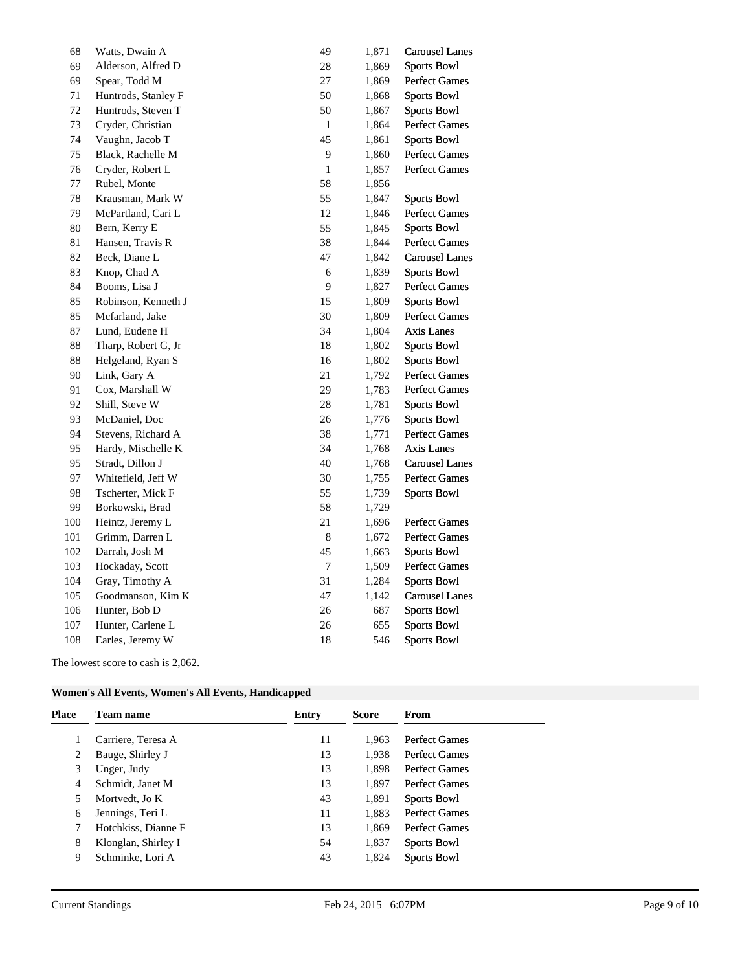| 68  | Watts, Dwain A      | 49             | 1,871 | <b>Carousel Lanes</b> |
|-----|---------------------|----------------|-------|-----------------------|
| 69  | Alderson, Alfred D  | 28             | 1,869 | <b>Sports Bowl</b>    |
| 69  | Spear, Todd M       | $27\,$         | 1,869 | <b>Perfect Games</b>  |
| 71  | Huntrods, Stanley F | 50             | 1,868 | <b>Sports Bowl</b>    |
| 72  | Huntrods, Steven T  | 50             | 1,867 | <b>Sports Bowl</b>    |
| 73  | Cryder, Christian   | $\mathbf{1}$   | 1,864 | <b>Perfect Games</b>  |
| 74  | Vaughn, Jacob T     | 45             | 1,861 | <b>Sports Bowl</b>    |
| 75  | Black, Rachelle M   | 9              | 1,860 | <b>Perfect Games</b>  |
| 76  | Cryder, Robert L    | $\mathbf{1}$   | 1,857 | Perfect Games         |
| 77  | Rubel, Monte        | 58             | 1,856 |                       |
| 78  | Krausman, Mark W    | 55             | 1,847 | <b>Sports Bowl</b>    |
| 79  | McPartland, Cari L  | 12             | 1,846 | Perfect Games         |
| 80  | Bern, Kerry E       | 55             | 1,845 | <b>Sports Bowl</b>    |
| 81  | Hansen, Travis R    | 38             | 1,844 | <b>Perfect Games</b>  |
| 82  | Beck, Diane L       | 47             | 1,842 | <b>Carousel Lanes</b> |
| 83  | Knop, Chad A        | 6              | 1,839 | <b>Sports Bowl</b>    |
| 84  | Booms, Lisa J       | 9              | 1,827 | <b>Perfect Games</b>  |
| 85  | Robinson, Kenneth J | 15             | 1,809 | <b>Sports Bowl</b>    |
| 85  | Mcfarland, Jake     | 30             | 1,809 | <b>Perfect Games</b>  |
| 87  | Lund, Eudene H      | 34             | 1,804 | Axis Lanes            |
| 88  | Tharp, Robert G, Jr | 18             | 1,802 | <b>Sports Bowl</b>    |
| 88  | Helgeland, Ryan S   | 16             | 1,802 | <b>Sports Bowl</b>    |
| 90  | Link, Gary A        | 21             | 1,792 | <b>Perfect Games</b>  |
| 91  | Cox, Marshall W     | 29             | 1,783 | <b>Perfect Games</b>  |
| 92  | Shill, Steve W      | $28\,$         | 1,781 | <b>Sports Bowl</b>    |
| 93  | McDaniel, Doc       | 26             | 1,776 | <b>Sports Bowl</b>    |
| 94  | Stevens, Richard A  | 38             | 1,771 | <b>Perfect Games</b>  |
| 95  | Hardy, Mischelle K  | 34             | 1,768 | <b>Axis Lanes</b>     |
| 95  | Stradt, Dillon J    | 40             | 1,768 | <b>Carousel Lanes</b> |
| 97  | Whitefield, Jeff W  | 30             | 1,755 | <b>Perfect Games</b>  |
| 98  | Tscherter, Mick F   | 55             | 1,739 | <b>Sports Bowl</b>    |
| 99  | Borkowski, Brad     | 58             | 1,729 |                       |
| 100 | Heintz, Jeremy L    | 21             | 1,696 | <b>Perfect Games</b>  |
| 101 | Grimm, Darren L     | $\,8\,$        | 1,672 | Perfect Games         |
| 102 | Darrah, Josh M      | 45             | 1,663 | <b>Sports Bowl</b>    |
| 103 | Hockaday, Scott     | $\overline{7}$ | 1,509 | <b>Perfect Games</b>  |
| 104 | Gray, Timothy A     | 31             | 1,284 | <b>Sports Bowl</b>    |
| 105 | Goodmanson, Kim K   | 47             | 1,142 | <b>Carousel Lanes</b> |
| 106 | Hunter, Bob D       | 26             | 687   | <b>Sports Bowl</b>    |
| 107 | Hunter, Carlene L   | 26             | 655   | <b>Sports Bowl</b>    |
| 108 | Earles, Jeremy W    | 18             | 546   | <b>Sports Bowl</b>    |
|     |                     |                |       |                       |

The lowest score to cash is 2,062.

| Women's All Events, Women's All Events, Handicapped |
|-----------------------------------------------------|
|-----------------------------------------------------|

| <b>Place</b> | Team name           | Entry | <b>Score</b> | From                 |
|--------------|---------------------|-------|--------------|----------------------|
|              | Carriere, Teresa A  | 11    | 1.963        | <b>Perfect Games</b> |
| 2            | Bauge, Shirley J    | 13    | 1.938        | <b>Perfect Games</b> |
| 3            | Unger, Judy         | 13    | 1.898        | <b>Perfect Games</b> |
| 4            | Schmidt, Janet M    | 13    | 1.897        | <b>Perfect Games</b> |
| 5            | Mortvedt, Jo K      | 43    | 1,891        | <b>Sports Bowl</b>   |
| 6            | Jennings, Teri L    | 11    | 1.883        | <b>Perfect Games</b> |
|              | Hotchkiss, Dianne F | 13    | 1.869        | <b>Perfect Games</b> |
| 8            | Klonglan, Shirley I | 54    | 1,837        | <b>Sports Bowl</b>   |
| 9            | Schminke, Lori A    | 43    | 1,824        | <b>Sports Bowl</b>   |
|              |                     |       |              |                      |